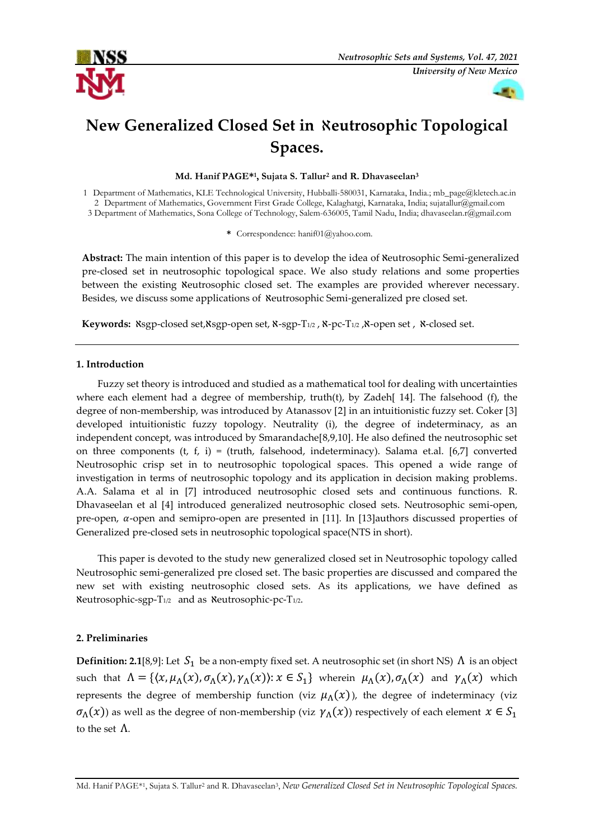



# **New Generalized Closed Set in** ℵ**eutrosophic Topological Spaces.**

**Md. Hanif PAGE\*1, Sujata S. Tallur2 and R. Dhavaseelan3**

1 Department of Mathematics, KLE Technological University, Hubballi-580031, Karnataka, India.[; mb\\_page@kletech.ac.in](mailto:mb_page@kletech.ac.in)  2 Department of Mathematics, Government First Grade College, Kalaghatgi, Karnataka, India; sujatallur@gmail.com 3 Department of Mathematics, Sona College of Technology, Salem-636005, Tamil Nadu, India; [dhavaseelan.r@gmail.com](mailto:dhavaseelan.r@gmail.com) 

**\*** Correspondence: hanif01@yahoo.com.

**Abstract:** The main intention of this paper is to develop the idea of ℵeutrosophic Semi-generalized pre-closed set in neutrosophic topological space. We also study relations and some properties between the existing Neutrosophic closed set. The examples are provided wherever necessary. Besides, we discuss some applications of ℵeutrosophic Semi-generalized pre closed set.

**Keywords:** ℵsgp-closed set,ℵsgp-open set, ℵ-sgp-T1/2 , ℵ-pc-T1/2 ,ℵ-open set , ℵ-closed set.

#### **1. Introduction**

Fuzzy set theory is introduced and studied as a mathematical tool for dealing with uncertainties where each element had a degree of membership, truth(t), by Zadeh[ 14]. The falsehood (f), the degree of non-membership, was introduced by Atanassov [2] in an intuitionistic fuzzy set. Coker [3] developed intuitionistic fuzzy topology. Neutrality (i), the degree of indeterminacy, as an independent concept, was introduced by Smarandache[8,9,10]. He also defined the neutrosophic set on three components (t, f, i) = (truth, falsehood, indeterminacy). Salama et.al. [6,7] converted Neutrosophic crisp set in to neutrosophic topological spaces. This opened a wide range of investigation in terms of neutrosophic topology and its application in decision making problems. A.A. Salama et al in [7] introduced neutrosophic closed sets and continuous functions. R. Dhavaseelan et al [4] introduced generalized neutrosophic closed sets. Neutrosophic semi-open, pre-open,  $\alpha$ -open and semipro-open are presented in [11]. In [13] authors discussed properties of Generalized pre-closed sets in neutrosophic topological space(NTS in short).

This paper is devoted to the study new generalized closed set in Neutrosophic topology called Neutrosophic semi-generalized pre closed set. The basic properties are discussed and compared the new set with existing neutrosophic closed sets. As its applications, we have defined as ℵeutrosophic-sgp-T1/2 and as ℵeutrosophic-pc-T1/2.

### **2. Preliminaries**

**Definition: 2.1**[8,9]: Let  $S_1$  be a non-empty fixed set. A neutrosophic set (in short NS)  $\Lambda$  is an object such that  $\Lambda = \{ (x, \mu_{\Lambda}(x), \sigma_{\Lambda}(x), \gamma_{\Lambda}(x)) : x \in S_1 \}$  wherein  $\mu_{\Lambda}(x), \sigma_{\Lambda}(x)$  and  $\gamma_{\Lambda}(x)$  which represents the degree of membership function (viz  $\mu_{\Lambda}(x)$ ), the degree of indeterminacy (viz  $\sigma_{\Lambda}(x)$ ) as well as the degree of non-membership (viz  $\gamma_{\Lambda}(x)$ ) respectively of each element  $x \in S_1$ to the set Λ.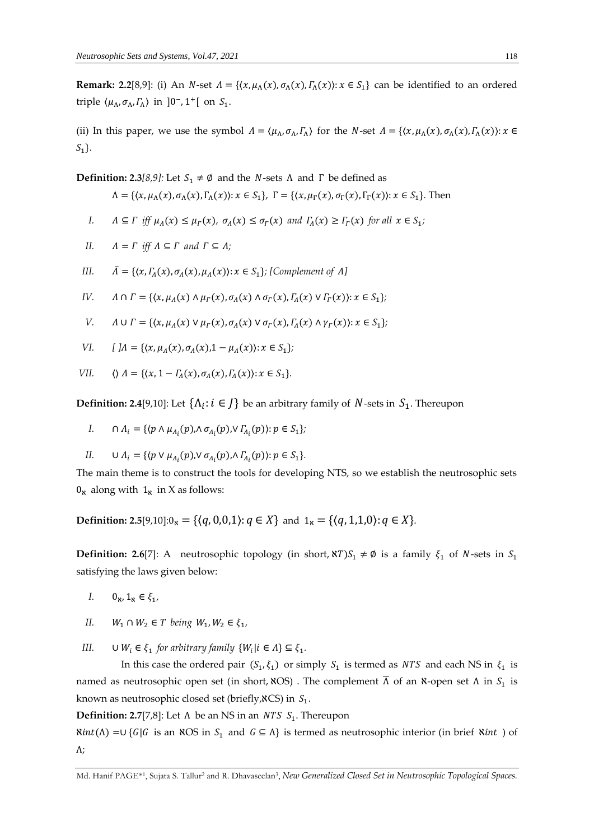**Remark: 2.2**[8,9]: (i) An *N*-set  $\Lambda = \{(x, \mu_A(x), \sigma_A(x), \Gamma_A(x)) : x \in S_1\}$  can be identified to an ordered triple  $\langle \mu_{\Lambda}, \sigma_{\Lambda}, \Gamma_{\Lambda} \rangle$  in ]0<sup>-</sup>, 1<sup>+</sup>[ on  $S_1$ .

(ii) In this paper, we use the symbol  $\Lambda = \langle \mu_{\Lambda}, \sigma_{\Lambda}, \Gamma_{\Lambda} \rangle$  for the N-set  $\Lambda = \{ \langle x, \mu_{\Lambda}(x), \sigma_{\Lambda}(x), \Gamma_{\Lambda}(x) \rangle : x \in$  $S_1$ .

**Definition: 2.3***[8,9]:* Let  $S_1 \neq \emptyset$  and the *N*-sets  $\Lambda$  and  $\Gamma$  be defined as

$$
\Lambda = \{ \langle x, \mu_{\Lambda}(x), \sigma_{\Lambda}(x), \Gamma_{\Lambda}(x) \rangle : x \in S_1 \}, \Gamma = \{ \langle x, \mu_{\Gamma}(x), \sigma_{\Gamma}(x), \Gamma_{\Gamma}(x) \rangle : x \in S_1 \}.
$$
 Then

*I.*  $\Lambda \subseteq \Gamma$  iff  $\mu_A(x) \leq \mu_{\Gamma}(x)$ ,  $\sigma_A(x) \leq \sigma_{\Gamma}(x)$  and  $\Gamma_A(x) \geq \Gamma_{\Gamma}(x)$  for all  $x \in S_1$ ;

II. 
$$
\Lambda = \Gamma
$$
 iff  $\Lambda \subseteq \Gamma$  and  $\Gamma \subseteq \Lambda$ ;

III. 
$$
\bar{\Lambda} = \{ \langle x, \Gamma_{\Lambda}(x), \sigma_{\Lambda}(x), \mu_{\Lambda}(x) \rangle : x \in S_1 \};
$$
 [Complement of  $\Lambda$ ]

*IV*. 
$$
\Lambda \cap \Gamma = \{ (x, \mu_A(x) \land \mu_F(x), \sigma_A(x) \land \sigma_F(x), \Gamma_A(x) \lor \Gamma_F(x)) : x \in S_1 \};
$$

*V.*  $\Lambda \cup \Gamma = \{ (x, \mu_A(x) \vee \mu_{\Gamma}(x), \sigma_A(x) \vee \sigma_{\Gamma}(x), \Gamma_A(x) \wedge \gamma_{\Gamma}(x)) : x \in S_1 \};$ 

VI. 
$$
[ \, ]A = \{ (x, \mu_A(x), \sigma_A(x), 1 - \mu_A(x)) : x \in S_1 \}
$$

$$
VII. \qquad \langle \rangle \Lambda = \{ \langle x, 1 - \Gamma_{\Lambda}(x), \sigma_{\Lambda}(x), \Gamma_{\Lambda}(x) \rangle : x \in S_1 \}.
$$

**Definition: 2.4**[9,10]: Let  $\{\Lambda_i : i \in J\}$  be an arbitrary family of  $N$ -sets in  $S_1$ . Thereupon

I. 
$$
\bigcap \Lambda_i = \{ \langle p \wedge \mu_{\Lambda_i}(p), \wedge \sigma_{\Lambda_i}(p), \vee \Gamma_{\Lambda_i}(p) \rangle : p \in S_1 \};
$$

$$
II. \qquad \cup \Lambda_i = \{ \langle p \vee \mu_{\Lambda_i}(p), \vee \sigma_{\Lambda_i}(p), \wedge \Gamma_{\Lambda_i}(p) \rangle : p \in S_1 \}.
$$

The main theme is to construct the tools for developing NTS, so we establish the neutrosophic sets  $0_{\aleph}$  along with  $1_{\aleph}$  in X as follows:

**Definition: 2.5**[9,10]: $0<sub>x</sub> = \{(q, 0, 0, 1): q \in X\}$  and  $1<sub>x</sub> = \{(q, 1, 1, 0): q \in X\}$ .

**Definition: 2.6**[7]: A neutrosophic topology (in short,  $\mathbf{x}T$ ) $S_1 \neq \emptyset$  is a family  $\xi_1$  of *N*-sets in  $S_1$ satisfying the laws given below:

- *I.*  $0_{\aleph}, 1_{\aleph} \in \xi_1$ ,
- *II.*  $W_1 \cap W_2 \in T$  being  $W_1, W_2 \in \xi_1$ ,
- *III.*  $\cup W_i \in \xi_1$  for arbitrary family  $\{W_i | i \in \Lambda\} \subseteq \xi_1$ .

In this case the ordered pair  $(S_1, \xi_1)$  or simply  $S_1$  is termed as *NTS* and each NS in  $\xi_1$  is named as neutrosophic open set (in short, XOS). The complement  $\Lambda$  of an X-open set  $\Lambda$  in  $S_1$  is known as neutrosophic closed set (briefly, $\aleph C$ S) in  $S_1$ .

**Definition: 2.7**[7,8]: Let  $\Lambda$  be an NS in an *NTS*  $S_1$ . Thereupon

 $\text{Rint}(\Lambda) = ∪ {G|G}$  is an NOS in S<sub>1</sub> and  $G ⊆ Λ$ } is termed as neutrosophic interior (in brief Nint ) of Λ;

Md. Hanif PAGE\*1, Sujata S. Tallur<sup>2</sup> and R. Dhavaseelan3, *New Generalized Closed Set in Neutrosophic Topological Spaces.*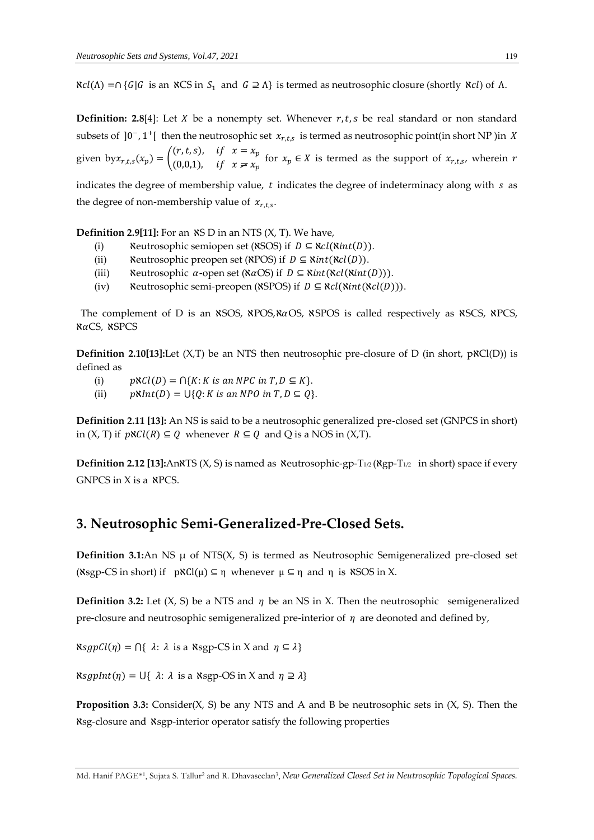$\aleph cl(\Lambda) = \bigcap \{ G | G$  is an  $\aleph CS$  in  $S_1$  and  $G \supseteq \Lambda \}$  is termed as neutrosophic closure (shortly  $\aleph cl$ ) of  $\Lambda$ .

**Definition: 2.8**[4]: Let  $X$  be a nonempty set. Whenever  $r, t, s$  be real standard or non standard subsets of ]0<sup>-</sup>, 1<sup>+</sup>[ then the neutrosophic set  $x_{r, ts}$  is termed as neutrosophic point(in short NP)in *X* given by  $x_{r,t,s}(x_p) = \begin{pmatrix} (r,t,s), & \text{if } x = x_p \\ (0,0,1) & \text{if } x \neq r \end{pmatrix}$ (0,0,1), if  $x \neq x_p$  for  $x_p \in X$  is termed as the support of  $x_{r,t,s}$ , wherein r indicates the degree of membership value,  $t$  indicates the degree of indeterminacy along with  $s$  as the degree of non-membership value of  $x_{r,t,s}$ .

**Definition 2.9[11]:** For an  $\angle$  **NS** D in an NTS  $(X, T)$ . We have,

- (i) Neutrosophic semiopen set ( $\aleph$ SOS) if  $D \subseteq \aleph cl(\aleph int(D)).$
- (ii) ℵeutrosophic preopen set (ℵPOS) if ⊆ ℵ(ℵ()).
- (iii) Neutrosophic  $\alpha$ -open set ( $\alpha$ OS) if  $D \subseteq \text{Nint}(\text{Ncl}(\text{Nint}(D))).$
- (iv) Neutrosophic semi-preopen (XSPOS) if  $D \subseteq \aleph{cl}(\aleph{int}(\aleph{cl}(D))).$

The complement of D is an  $\frac{\text{NSOS}}{\text{NPOS},\text{NACS}}$ ,  $\frac{\text{NSPOS}}{\text{NPOS}}$  is called respectively as  $\frac{\text{NSCS}}{\text{NICS}}$ ,  $\frac{\text{NPOS}}{\text{NPOS}}$ **NaCS, NSPCS** 

**Definition 2.10[13]:**Let  $(X, T)$  be an NTS then neutrosophic pre-closure of D (in short,  $p \& Cl(D)$ ) is defined as

- (i)  $p \aleph Cl(D) = \bigcap \{K : K \text{ is an } NPC \text{ in } T, D \subseteq K\}.$
- (ii)  $pNInt(D) = \bigcup \{Q: K \text{ is an NPO in } T, D \subseteq Q\}.$

**Definition 2.11 [13]:** An NS is said to be a neutrosophic generalized pre-closed set (GNPCS in short) in  $(X, T)$  if  $pNCl(R) \subseteq Q$  whenever  $R \subseteq Q$  and Q is a NOS in  $(X, T)$ .

**Definition 2.12 [13]:**An<sub>NTS</sub> (X, S) is named as Neutrosophic-gp-T<sub>1/2</sub> (Ngp-T<sub>1/2</sub> in short) space if every GNPCS in X is a ℵPCS.

# **3. Neutrosophic Semi-Generalized-Pre-Closed Sets.**

**Definition 3.1:**An NS  $\mu$  of NTS(X, S) is termed as Neutrosophic Semigeneralized pre-closed set (Nsgp-CS in short) if  $pNCl(\mu) \subseteq \eta$  whenever  $\mu \subseteq \eta$  and  $\eta$  is NSOS in X.

**Definition 3.2:** Let  $(X, S)$  be a NTS and  $\eta$  be an NS in X. Then the neutrosophic semigeneralized pre-closure and neutrosophic semigeneralized pre-interior of  $\eta$  are deonoted and defined by,

 $\aleph sgnCl(\eta) = \bigcap \{ \lambda : \lambda \text{ is a } \aleph sgnCS \text{ in } X \text{ and } \eta \subseteq \lambda \}$ 

 $\aleph_{\mathcal{S}}(gplnt(\eta) = \bigcup \{ \lambda : \lambda \text{ is a } \aleph_{\text{sgp}}\text{-OS in } X \text{ and } \eta \supseteq \lambda \}$ 

**Proposition 3.3:** Consider(X, S) be any NTS and A and B be neutrosophic sets in (X, S). Then the ℵsg-closure and ℵsgp-interior operator satisfy the following properties

Md. Hanif PAGE\*1, Sujata S. Tallur2 and R. Dhavaseelan3, *New Generalized Closed Set in Neutrosophic Topological Spaces.*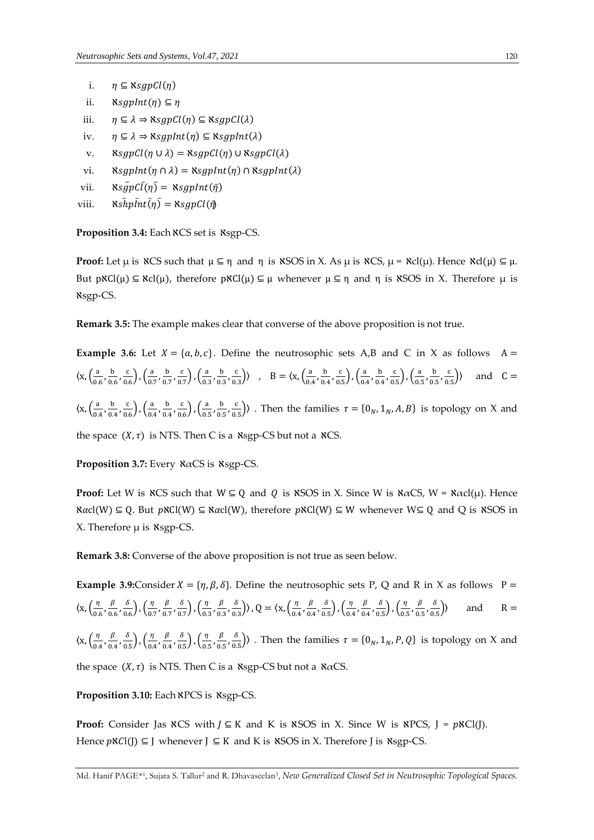- i.  $\eta \subseteq \aleph sgpCl(\eta)$
- ii.  $\aleph sgnInt(\eta) \subseteq \eta$
- iii.  $\eta \subseteq \lambda \Rightarrow$   $\aleph_{Sgp}Cl(\eta) \subseteq$   $\aleph_{Sgp}Cl(\lambda)$
- iv.  $\eta \subseteq \lambda \Rightarrow \aleph sgnInt(\eta) \subseteq \aleph sgnInt(\lambda)$
- v.  $\aleph_{\text{Sgp}}\mathcal{C}l(\eta \cup \lambda) = \aleph_{\text{Sgp}}\mathcal{C}l(\eta) \cup \aleph_{\text{Sgp}}\mathcal{C}l(\lambda)$
- vi.  $\aleph_{\text{S}}(n \cap \lambda) = \aleph_{\text{S}}(n \ln(n) \cap \aleph_{\text{S}}(n \ln(\lambda))$
- vii.  $\aleph_{\mathcal{S}} \frac{\overline{q}}{\overline{p}} \mathcal{C} \overline{l}(\eta) = \aleph_{\mathcal{S}} \frac{\overline{q}}{\overline{p}} \mathcal{C} \overline{l}(\eta)$
- viii.  $\aleph s\bar{h}p\bar{h}t\bar{h}$  =  $\aleph sgpCl(\bar{\eta})$

Proposition 3.4: Each NCS set is Nsgp-CS.

**Proof:** Let  $\mu$  is  $\angle$ CS such that  $\mu \subseteq \eta$  and  $\eta$  is  $\angle$ SOS in X. As  $\mu$  is  $\angle$ CS,  $\mu = \angle$ Cl( $\mu$ ). Hence  $\angle \angle C(\mu) \subseteq \mu$ . But  $pNCI(\mu) \subseteq RCI(\mu)$ , therefore  $pNCI(\mu) \subseteq \mu$  whenever  $\mu \subseteq \eta$  and  $\eta$  is *NSOS* in X. Therefore  $\mu$  is ℵsgp-CS.

**Remark 3.5:** The example makes clear that converse of the above proposition is not true.

**Example 3.6:** Let  $X = \{a, b, c\}$ . Define the neutrosophic sets A,B and C in X as follows A =  $\langle x, \left(\frac{a}{0.6}, \frac{b}{0.6}, \frac{c}{0.6}\right), \left(\frac{a}{0.7}, \frac{b}{0.7}, \frac{c}{0.7}\right), \left(\frac{a}{0.3}, \frac{b}{0.3}, \frac{c}{0.3}\right) \rangle$  ,  $B = \langle x, \left(\frac{a}{0.4}, \frac{b}{0.4}, \frac{c}{0.5}\right), \left(\frac{a}{0.4}, \frac{b}{0.4}, \frac{c}{0.5}\right), \left(\frac{a}{0.5}, \frac{b}{0.5}, \frac{c}{0.5}\right)$ and  $C =$  $\langle x, \left(\frac{a}{0.4}, \frac{b}{0.4}, \frac{c}{0.6}\right), \left(\frac{a}{0.4}, \frac{b}{0.4}, \frac{c}{0.6}\right), \left(\frac{a}{0.5}, \frac{b}{0.5}, \frac{c}{0.5}\right) \rangle$ . Then the families  $\tau = \{0_N, 1_N, A, B\}$  is topology on X and

the space  $(X, \tau)$  is NTS. Then C is a  $\kappa$ sgp-CS but not a  $\kappa$ CS.

**Proposition 3.7:** Every ℵαCS is ℵsgp-CS.

**Proof:** Let W is  $\forall X \in \mathbb{R}$  and  $\forall Y \in \mathbb{Q}$  and  $\forall Y \in \mathbb{Q}$  is  $\forall X \in \mathbb{Q}$  is  $\forall X \in \mathbb{Q}$  and  $\forall Y \in \mathbb{Q}$  and  $\forall Y \in \mathbb{Q}$  and  $\forall Y \in \mathbb{Q}$  is  $\forall X \in \mathbb{Q}$  is  $\forall X \in \mathbb{Q}$  is  $\forall X \in \mathbb{Q}$  is  $\forall X \in \mathbb{Q$  $\text{Kacl}(W) \subseteq Q$ . But  $p\text{KCl}(W) \subseteq \text{Kacl}(W)$ , therefore  $p\text{KCl}(W) \subseteq W$  whenever  $W \subseteq Q$  and Q is  $\text{KSOS}$  in X. Therefore  $\mu$  is  $\kappa$ sgp-CS.

**Remark 3.8:** Converse of the above proposition is not true as seen below.

**Example 3.9:**Consider  $X = \{\eta, \beta, \delta\}$ . Define the neutrosophic sets P, Q and R in X as follows P =  $\langle x, \left(\frac{\eta}{0.6}, \frac{\beta}{0.6}, \frac{\delta}{0.6}\right), \left(\frac{\eta}{0.7}, \frac{\beta}{0.7}, \frac{\delta}{0.7}\right), \left(\frac{\eta}{0.3}, \frac{\beta}{0.3}, \frac{\delta}{0.3}\right) \rangle$ ,  $Q = \langle x, \left(\frac{\eta}{0.4}, \frac{\beta}{0.4}, \frac{\delta}{0.5}\right), \left(\frac{\eta}{0.4}, \frac{\beta}{0.4}, \frac{\delta}{0.5}\right), \left(\frac{\eta}{0.5}, \frac{\beta}{0.5}, \frac{\delta}{0.5}\right) \rangle$  and  $R =$  $\langle x, \left(\frac{\eta}{0.4}, \frac{\beta}{0.4}, \frac{\delta}{0.5}\right), \left(\frac{\eta}{0.4}, \frac{\beta}{0.4}, \frac{\delta}{0.5}\right), \left(\frac{\eta}{0.5}, \frac{\beta}{0.5}, \frac{\delta}{0.5}\right) \rangle$ . Then the families  $\tau = \{0_N, 1_N, P, Q\}$  is topology on X and the space  $(X, \tau)$  is NTS. Then C is a  $\kappa$ sgp-CS but not a  $\kappa \alpha$ CS.

Proposition 3.10: Each NPCS is Nsgp-CS.

**Proof:** Consider Jas  $\aleph$ CS with  $J \subseteq K$  and K is  $\aleph$ SOS in X. Since W is  $\aleph$ PCS,  $J = p \aleph$ Cl(J). Hence  $p \& C(j) \subseteq J$  whenever  $J \subseteq K$  and K is  $\&SOS$  in X. Therefore J is  $\&SSP$ -CS.

Md. Hanif PAGE\*1, Sujata S. Tallur2 and R. Dhavaseelan3, *New Generalized Closed Set in Neutrosophic Topological Spaces.*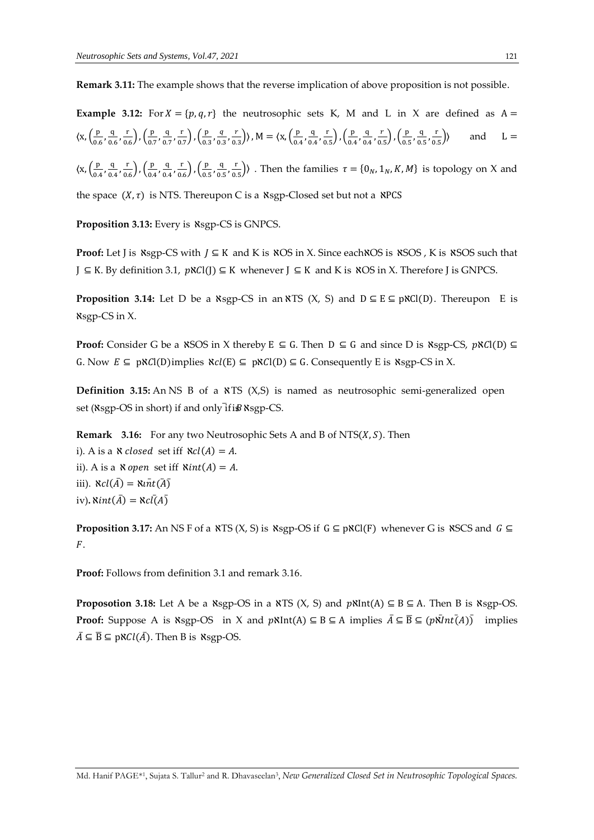**Remark 3.11:** The example shows that the reverse implication of above proposition is not possible.

**Example 3.12:** For  $X = \{p, q, r\}$  the neutrosophic sets K, M and L in X are defined as  $A =$  $\langle x, \left(\frac{p}{0.6}, \frac{q}{0.6}, \frac{r}{0.6}\right), \left(\frac{p}{0.7}, \frac{q}{0.7}, \frac{r}{0.7}\right), \left(\frac{p}{0.3}, \frac{q}{0.3}, \frac{r}{0.3}\right) \rangle$ ,  $M = \langle x, \left(\frac{p}{0.4}, \frac{q}{0.4}, \frac{r}{0.5}\right), \left(\frac{p}{0.4}, \frac{q}{0.4}, \frac{r}{0.5}\right), \left(\frac{p}{0.5}, \frac{q}{0.5}, \frac{r}{0.5}\right) \rangle$  and  $L =$ 

 $\langle x, \left(\frac{p}{0.4}, \frac{q}{0.4}, \frac{r}{0.6}\right), \left(\frac{p}{0.4}, \frac{q}{0.4}, \frac{r}{0.6}\right), \left(\frac{p}{0.5}, \frac{q}{0.5}, \frac{r}{0.5}\right) \rangle$ . Then the families  $\tau = \{0_N, 1_N, K, M\}$  is topology on X and

the space  $(X, \tau)$  is NTS. Thereupon C is a  $\kappa$ sgp-Closed set but not a  $\kappa$ PCS

Proposition 3.13: Every is Nsgp-CS is GNPCS.

**Proof:** Let J is  $\text{Ksgp-CS}$  with  $J \subseteq K$  and K is  $\text{KOS}$  in X. Since each NOS is  $\text{KSOS}$ , K is  $\text{KSOS}$  such that  $J \subseteq K$ . By definition 3.1,  $p \& Cl(J) \subseteq K$  whenever  $J \subseteq K$  and K is  $NOS$  in X. Therefore J is GNPCS.

**Proposition 3.14:** Let D be a  $\kappa$ sgp-CS in an  $\kappa$ TS (X, S) and  $D \subseteq E \subseteq p\kappa C(D)$ . Thereupon E is ℵsgp-CS in X.

**Proof:** Consider G be a  $\text{NSOS}$  in X thereby E  $\subseteq$  G. Then  $D \subseteq G$  and since D is  $\text{Nsgp-CS}$ ,  $\text{pNCl}(D) \subseteq G$ G. Now  $E \subseteq p\aleph C\vert(D)$  implies  $\aleph c\vert(E) \subseteq p\aleph C\vert(D) \subseteq G$ . Consequently E is  $\aleph sgn$ -CS in X.

**Definition 3.15:** An NS B of a  $\angle$ TS (X,S) is named as neutrosophic semi-generalized open set (Nsgp-OS in short) if and only if is Nsgp-CS.

**Remark** 3.16: For any two Neutrosophic Sets A and B of NTS(*X*, *S*). Then i). A is a  $\aleph$  closed set iff  $\aleph cl(A) = A$ . ii). A is a  $\aleph$  open set iff  $\aleph int(A) = A$ . iii).  $\aleph cl(\bar{A}) = \aleph \overline{u} \overline{t} (\bar{A})$ iv)**.**  $\text{\textit{Nint}}(\bar{A}) = \text{\textit{Ncl}}(\bar{A})$ 

**Proposition 3.17:** An NS F of a  $\angle$ XTS (X, S) is  $\angle$ xsgp-OS if  $G \subseteq p\angle NCl(F)$  whenever G is  $\angle$ XSCS and  $G \subseteq$  $F$ .

**Proof:** Follows from definition 3.1 and remark 3.16.

**Proposotion 3.18:** Let A be a  $\kappa$ sgp-OS in a  $\kappa$ TS (X, S) and  $p\kappa$ Int(A)  $\subseteq$  B  $\subseteq$  A. Then B is  $\kappa$ sgp-OS. **Proof:** Suppose A is  $\aleph$ sgp-OS in X and  $\aleph \aleph$ Int(A)  $\subseteq$  B  $\subseteq$  A implies  $\overline{A} \subseteq \overline{B} \subseteq (\aleph \overline{N}nt\overline{A})$  implies  $\overline{A} \subseteq \overline{B} \subseteq p \aleph Cl(\overline{A})$ . Then B is  $\aleph sgp$ -OS.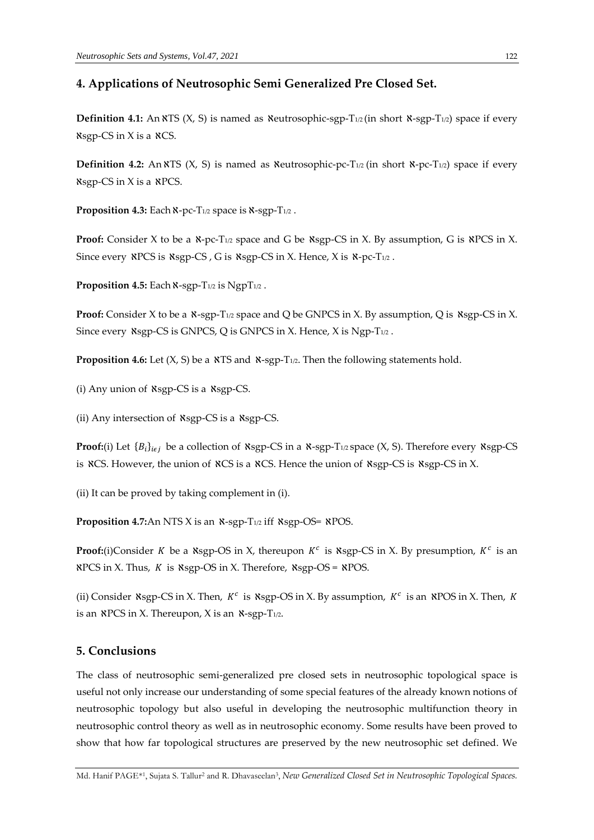## **4. Applications of Neutrosophic Semi Generalized Pre Closed Set.**

**Definition 4.1:** An  $\angle$ TS (X, S) is named as  $\angle$ Neutrosophic-sgp-T<sub>1/2</sub> (in short  $\angle$ x-sgp-T<sub>1/2</sub>) space if every  $\kappa$ sgp-CS in X is a  $\kappa$ CS.

**Definition 4.2:** An  $\overline{X}$  S ( $X$ , S) is named as  $\overline{X}$  eutrosophic-pc-T<sub>1/2</sub> (in short  $\overline{X}$ -pc-T<sub>1/2</sub>) space if every  $\kappa$ sgp-CS in X is a  $\kappa$ PCS.

Proposition 4.3: Each **x**-pc-T<sub>1/2</sub> space is **x**-sgp-T<sub>1/2</sub>.

**Proof:** Consider X to be a  $x$ -pc-T<sub>1/2</sub> space and G be  $x$ sgp-CS in X. By assumption, G is  $x$ PCS in X. Since every  $\angle$ RPCS is  $\angle$ Asgp-CS , G is  $\angle$ Asgp-CS in X. Hence, X is  $\angle$ A-pc-T<sub>1/2</sub>.

**Proposition 4.5:** Each  $\aleph$ -sgp-T<sub>1/2</sub> is NgpT<sub>1/2</sub>.

**Proof:** Consider X to be a  $\mathcal{R}$ -sgp-T<sub>1/2</sub> space and Q be GNPCS in X. By assumption, Q is  $\aleph$ sgp-CS in X. Since every  $\kappa$ sgp-CS is GNPCS, Q is GNPCS in X. Hence, X is Ngp-T<sub>1/2</sub>.

**Proposition 4.6:** Let (X, S) be a NTS and N-sgp-T<sub>1/2</sub>. Then the following statements hold.

(i) Any union of ℵsgp-CS is a ℵsgp-CS.

(ii) Any intersection of ℵsgp-CS is a ℵsgp-CS.

**Proof:**(i) Let  ${B_i}_{i \in j}$  be a collection of  $\kappa$ sgp-CS in a  $\kappa$ -sgp-T<sub>1/2</sub> space (X, S). Therefore every  $\kappa$ sgp-CS is  $\angle$ CS. However, the union of  $\angle$ CS is a  $\angle$ CS. Hence the union of  $\angle$ xsgp-CS is  $\angle$ xsgp-CS in X.

(ii) It can be proved by taking complement in (i).

**Proposition 4.7:**An NTS X is an  $\aleph$ -sgp-T<sub>1/2</sub> iff  $\aleph$ sgp-OS=  $\aleph$ POS.

**Proof:**(i)Consider K be a  $\kappa$ sgp-OS in X, thereupon  $K^c$  is  $\kappa$ sgp-CS in X. By presumption,  $K^c$  is an  $RPCS$  in X. Thus,  $K$  is  $RSPOS$  in X. Therefore,  $RSPOS = RPOS$ .

(ii) Consider  $\kappa s$ gp-CS in X. Then,  $K^c$  is  $\kappa s$ gp-OS in X. By assumption,  $K^c$  is an  $\kappa P$ OS in X. Then, K is an  $\angle$ PCS in X. Thereupon, X is an  $\angle$ -sgp-T<sub>1/2</sub>.

## **5. Conclusions**

The class of neutrosophic semi-generalized pre closed sets in neutrosophic topological space is useful not only increase our understanding of some special features of the already known notions of neutrosophic topology but also useful in developing the neutrosophic multifunction theory in neutrosophic control theory as well as in neutrosophic economy. Some results have been proved to show that how far topological structures are preserved by the new neutrosophic set defined. We